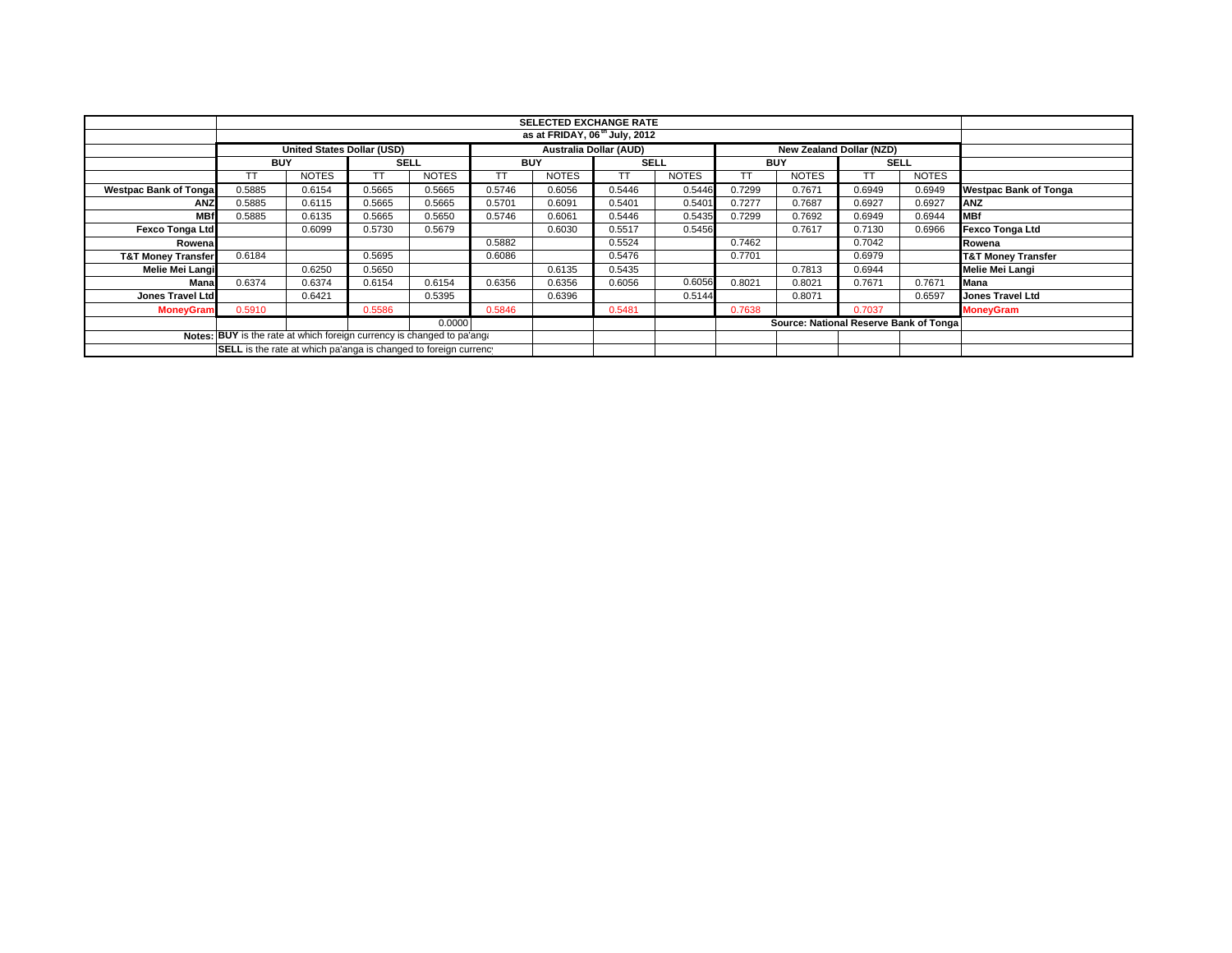|                                                                        |                                                                                                       |              |             |              |            | <b>SELECTED EXCHANGE RATE</b><br>as at FRIDAY, 06 <sup>th</sup> July, 2012 |             |              |            |                                        |             |              |                               |
|------------------------------------------------------------------------|-------------------------------------------------------------------------------------------------------|--------------|-------------|--------------|------------|----------------------------------------------------------------------------|-------------|--------------|------------|----------------------------------------|-------------|--------------|-------------------------------|
|                                                                        |                                                                                                       |              |             |              |            |                                                                            |             |              |            |                                        |             |              |                               |
|                                                                        | <b>Australia Dollar (AUD)</b><br><b>United States Dollar (USD)</b><br><b>New Zealand Dollar (NZD)</b> |              |             |              |            |                                                                            |             |              |            |                                        |             |              |                               |
|                                                                        | <b>BUY</b>                                                                                            |              | <b>SELL</b> |              | <b>BUY</b> |                                                                            | <b>SELL</b> |              | <b>BUY</b> |                                        | <b>SELL</b> |              |                               |
|                                                                        |                                                                                                       | <b>NOTES</b> |             | <b>NOTES</b> |            | <b>NOTES</b>                                                               | TТ          | <b>NOTES</b> |            | <b>NOTES</b>                           |             | <b>NOTES</b> |                               |
| <b>Westpac Bank of Tongal</b>                                          | 0.5885                                                                                                | 0.6154       | 0.5665      | 0.5665       | 0.5746     | 0.6056                                                                     | 0.5446      | 0.5446       | 0.7299     | 0.7671                                 | 0.6949      | 0.6949       | <b>Westpac Bank of Tonga</b>  |
| <b>ANZ</b>                                                             | 0.5885                                                                                                | 0.6115       | 0.5665      | 0.5665       | 0.5701     | 0.6091                                                                     | 0.5401      | 0.5401       | 0.7277     | 0.7687                                 | 0.6927      | 0.6927       | <b>IANZ</b>                   |
| <b>MBf</b>                                                             | 0.5885                                                                                                | 0.6135       | 0.5665      | 0.5650       | 0.5746     | 0.6061                                                                     | 0.5446      | 0.5435       | 0.7299     | 0.7692                                 | 0.6949      | 0.6944       | <b>MBf</b>                    |
| <b>Fexco Tonga Ltd</b>                                                 |                                                                                                       | 0.6099       | 0.5730      | 0.5679       |            | 0.6030                                                                     | 0.5517      | 0.5456       |            | 0.7617                                 | 0.7130      | 0.6966       | Fexco Tonga Ltd               |
| Rowena                                                                 |                                                                                                       |              |             |              | 0.5882     |                                                                            | 0.5524      |              | 0.7462     |                                        | 0.7042      |              | Rowena                        |
| <b>T&amp;T Money Transfer</b>                                          | 0.6184                                                                                                |              | 0.5695      |              | 0.6086     |                                                                            | 0.5476      |              | 0.7701     |                                        | 0.6979      |              | <b>T&amp;T Money Transfer</b> |
| Melie Mei Langi                                                        |                                                                                                       | 0.6250       | 0.5650      |              |            | 0.6135                                                                     | 0.5435      |              |            | 0.7813                                 | 0.6944      |              | Melie Mei Langi               |
| Mana                                                                   | 0.6374                                                                                                | 0.6374       | 0.6154      | 0.6154       | 0.6356     | 0.6356                                                                     | 0.6056      | 0.6056       | 0.8021     | 0.8021                                 | 0.7671      | 0.7671       | Mana                          |
| <b>Jones Travel Ltd</b>                                                |                                                                                                       | 0.6421       |             | 0.5395       |            | 0.6396                                                                     |             | 0.5144       |            | 0.8071                                 |             | 0.6597       | <b>Jones Travel Ltd</b>       |
| <b>MoneyGram</b>                                                       | 0.5910                                                                                                |              | 0.5586      |              | 0.5846     |                                                                            | 0.5481      |              | 0.7638     |                                        | 0.7037      |              | <b>MoneyGram</b>              |
|                                                                        |                                                                                                       |              |             | 0.0000       |            |                                                                            |             |              |            | Source: National Reserve Bank of Tonga |             |              |                               |
| Notes: BUY is the rate at which foreign currency is changed to pa'ang: |                                                                                                       |              |             |              |            |                                                                            |             |              |            |                                        |             |              |                               |
| SELL is the rate at which pa'anga is changed to foreign currency       |                                                                                                       |              |             |              |            |                                                                            |             |              |            |                                        |             |              |                               |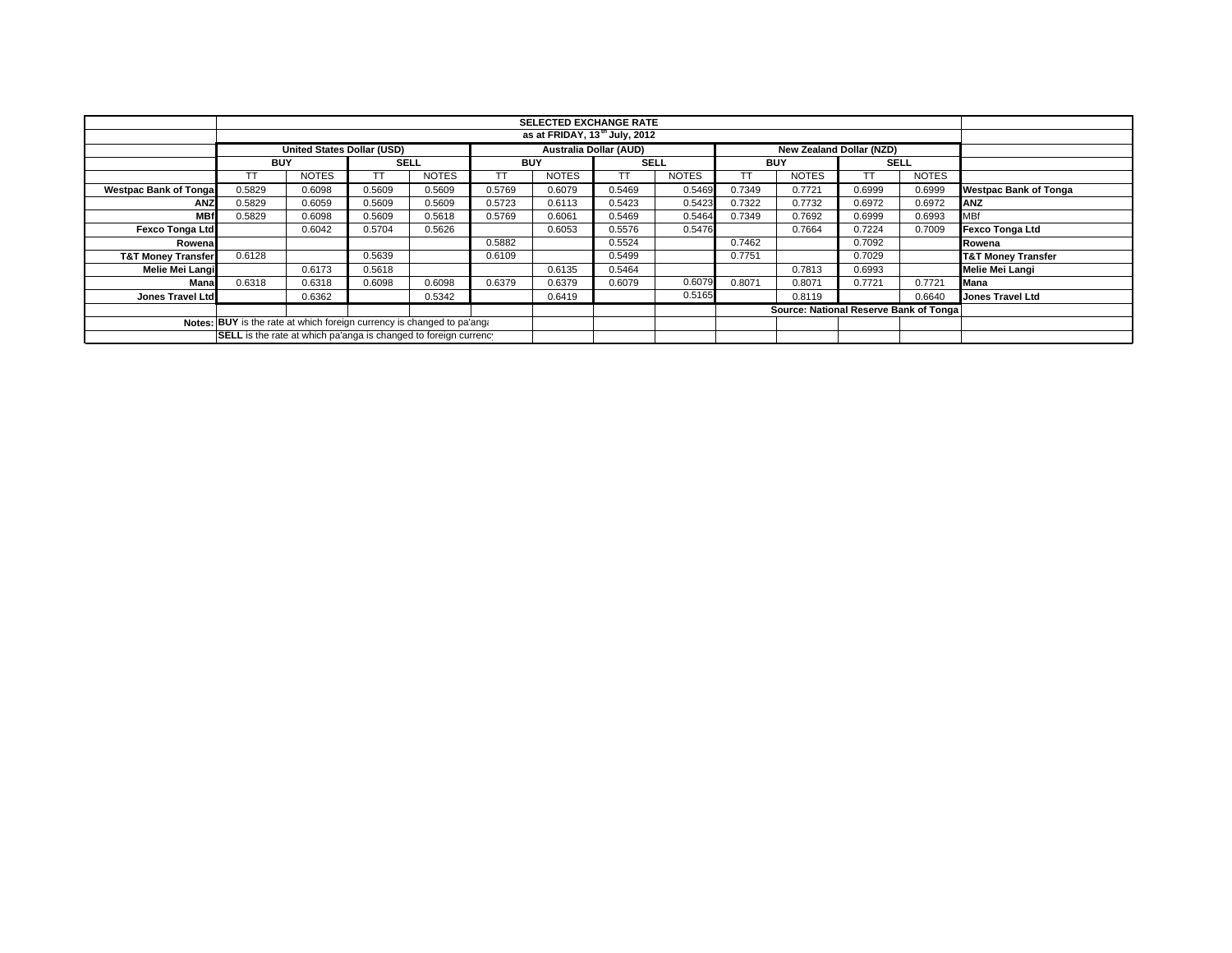|                                                                        |            | <b>SELECTED EXCHANGE RATE</b><br>as at FRIDAY, 13 <sup>th</sup> July, 2012 |             |              |            |              |                               |              |            |                                        |                                 |              |                               |
|------------------------------------------------------------------------|------------|----------------------------------------------------------------------------|-------------|--------------|------------|--------------|-------------------------------|--------------|------------|----------------------------------------|---------------------------------|--------------|-------------------------------|
|                                                                        |            |                                                                            |             |              |            |              |                               |              |            |                                        |                                 |              |                               |
|                                                                        |            | United States Dollar (USD)                                                 |             |              |            |              | <b>Australia Dollar (AUD)</b> |              |            |                                        | <b>New Zealand Dollar (NZD)</b> |              |                               |
|                                                                        | <b>BUY</b> |                                                                            | <b>SELL</b> |              | <b>BUY</b> |              | <b>SELL</b>                   |              | <b>BUY</b> |                                        | <b>SELL</b>                     |              |                               |
|                                                                        |            | <b>NOTES</b>                                                               |             | <b>NOTES</b> |            | <b>NOTES</b> | TТ                            | <b>NOTES</b> | TT         | <b>NOTES</b>                           |                                 | <b>NOTES</b> |                               |
| <b>Westpac Bank of Tonga</b>                                           | 0.5829     | 0.6098                                                                     | 0.5609      | 0.5609       | 0.5769     | 0.6079       | 0.5469                        | 0.5469       | 0.7349     | 0.7721                                 | 0.6999                          | 0.6999       | <b>Westpac Bank of Tonga</b>  |
| <b>ANZ</b>                                                             | 0.5829     | 0.6059                                                                     | 0.5609      | 0.5609       | 0.5723     | 0.6113       | 0.5423                        | 0.5423       | 0.7322     | 0.7732                                 | 0.6972                          | 0.6972       | ANZ                           |
| <b>MBf</b>                                                             | 0.5829     | 0.6098                                                                     | 0.5609      | 0.5618       | 0.5769     | 0.6061       | 0.5469                        | 0.5464       | 0.7349     | 0.7692                                 | 0.6999                          | 0.6993       | <b>MBf</b>                    |
| <b>Fexco Tonga Ltd</b>                                                 |            | 0.6042                                                                     | 0.5704      | 0.5626       |            | 0.6053       | 0.5576                        | 0.5476       |            | 0.7664                                 | 0.7224                          | 0.7009       | Fexco Tonga Ltd               |
| Rowena                                                                 |            |                                                                            |             |              | 0.5882     |              | 0.5524                        |              | 0.7462     |                                        | 0.7092                          |              | Rowena                        |
| <b>T&amp;T Money Transfer</b>                                          | 0.6128     |                                                                            | 0.5639      |              | 0.6109     |              | 0.5499                        |              | 0.7751     |                                        | 0.7029                          |              | <b>T&amp;T Money Transfer</b> |
| Melie Mei Langi                                                        |            | 0.6173                                                                     | 0.5618      |              |            | 0.6135       | 0.5464                        |              |            | 0.7813                                 | 0.6993                          |              | Melie Mei Langi               |
| Mana                                                                   | 0.6318     | 0.6318                                                                     | 0.6098      | 0.6098       | 0.6379     | 0.6379       | 0.6079                        | 0.6079       | 0.8071     | 0.8071                                 | 0.7721                          | 0.7721       | <b>Mana</b>                   |
| Jones Travel Ltd                                                       |            | 0.6362                                                                     |             | 0.5342       |            | 0.6419       |                               | 0.5165       |            | 0.8119                                 |                                 | 0.6640       | <b>Jones Travel Ltd</b>       |
|                                                                        |            |                                                                            |             |              |            |              |                               |              |            | Source: National Reserve Bank of Tonga |                                 |              |                               |
| Notes: BUY is the rate at which foreign currency is changed to pa'ang: |            |                                                                            |             |              |            |              |                               |              |            |                                        |                                 |              |                               |
| SELL is the rate at which pa'anga is changed to foreign currency       |            |                                                                            |             |              |            |              |                               |              |            |                                        |                                 |              |                               |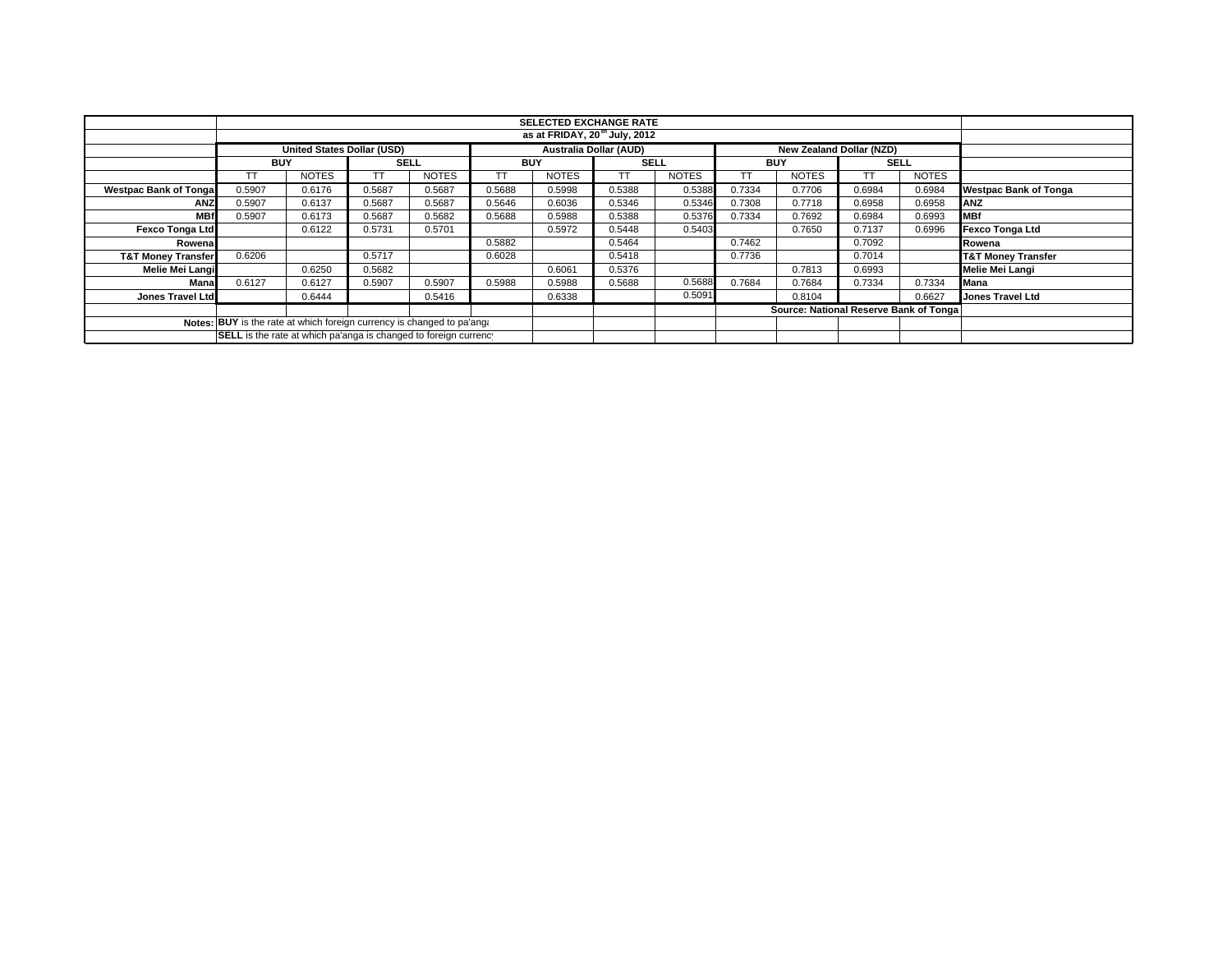|                                                                        | <b>SELECTED EXCHANGE RATE</b><br>as at FRIDAY, 20 <sup>th</sup> July, 2012 |                            |             |              |            |              |                                                                  |              |            |                                        |             |              |                               |
|------------------------------------------------------------------------|----------------------------------------------------------------------------|----------------------------|-------------|--------------|------------|--------------|------------------------------------------------------------------|--------------|------------|----------------------------------------|-------------|--------------|-------------------------------|
|                                                                        |                                                                            |                            |             |              |            |              |                                                                  |              |            |                                        |             |              |                               |
|                                                                        |                                                                            | United States Dollar (USD) |             |              |            |              | <b>Australia Dollar (AUD)</b><br><b>New Zealand Dollar (NZD)</b> |              |            |                                        |             |              |                               |
|                                                                        | <b>BUY</b>                                                                 |                            | <b>SELL</b> |              | <b>BUY</b> |              | <b>SELL</b>                                                      |              | <b>BUY</b> |                                        | <b>SELL</b> |              |                               |
|                                                                        |                                                                            | <b>NOTES</b>               |             | <b>NOTES</b> |            | <b>NOTES</b> | TТ                                                               | <b>NOTES</b> |            | <b>NOTES</b>                           |             | <b>NOTES</b> |                               |
| <b>Westpac Bank of Tonga</b>                                           | 0.5907                                                                     | 0.6176                     | 0.5687      | 0.5687       | 0.5688     | 0.5998       | 0.5388                                                           | 0.5388       | 0.7334     | 0.7706                                 | 0.6984      | 0.6984       | <b>Westpac Bank of Tonga</b>  |
| <b>ANZ</b>                                                             | 0.5907                                                                     | 0.6137                     | 0.5687      | 0.5687       | 0.5646     | 0.6036       | 0.5346                                                           | 0.5346       | 0.7308     | 0.7718                                 | 0.6958      | 0.6958       | ANZ                           |
| <b>MBf</b>                                                             | 0.5907                                                                     | 0.6173                     | 0.5687      | 0.5682       | 0.5688     | 0.5988       | 0.5388                                                           | 0.5376       | 0.7334     | 0.7692                                 | 0.6984      | 0.6993       | <b>MBf</b>                    |
| <b>Fexco Tonga Ltd</b>                                                 |                                                                            | 0.6122                     | 0.5731      | 0.5701       |            | 0.5972       | 0.5448                                                           | 0.5403       |            | 0.7650                                 | 0.7137      | 0.6996       | Fexco Tonga Ltd               |
| Rowena                                                                 |                                                                            |                            |             |              | 0.5882     |              | 0.5464                                                           |              | 0.7462     |                                        | 0.7092      |              | Rowena                        |
| <b>T&amp;T Money Transfer</b>                                          | 0.6206                                                                     |                            | 0.5717      |              | 0.6028     |              | 0.5418                                                           |              | 0.7736     |                                        | 0.7014      |              | <b>T&amp;T Money Transfer</b> |
| Melie Mei Langi                                                        |                                                                            | 0.6250                     | 0.5682      |              |            | 0.6061       | 0.5376                                                           |              |            | 0.7813                                 | 0.6993      |              | Melie Mei Langi               |
| Mana                                                                   | 0.6127                                                                     | 0.6127                     | 0.5907      | 0.5907       | 0.5988     | 0.5988       | 0.5688                                                           | 0.5688       | 0.7684     | 0.7684                                 | 0.7334      | 0.7334       | <b>Mana</b>                   |
| Jones Travel Ltd                                                       |                                                                            | 0.6444                     |             | 0.5416       |            | 0.6338       |                                                                  | 0.5091       |            | 0.8104                                 |             | 0.6627       | <b>Jones Travel Ltd</b>       |
|                                                                        |                                                                            |                            |             |              |            |              |                                                                  |              |            | Source: National Reserve Bank of Tonga |             |              |                               |
| Notes: BUY is the rate at which foreign currency is changed to pa'ang: |                                                                            |                            |             |              |            |              |                                                                  |              |            |                                        |             |              |                               |
| SELL is the rate at which pa'anga is changed to foreign currency       |                                                                            |                            |             |              |            |              |                                                                  |              |            |                                        |             |              |                               |